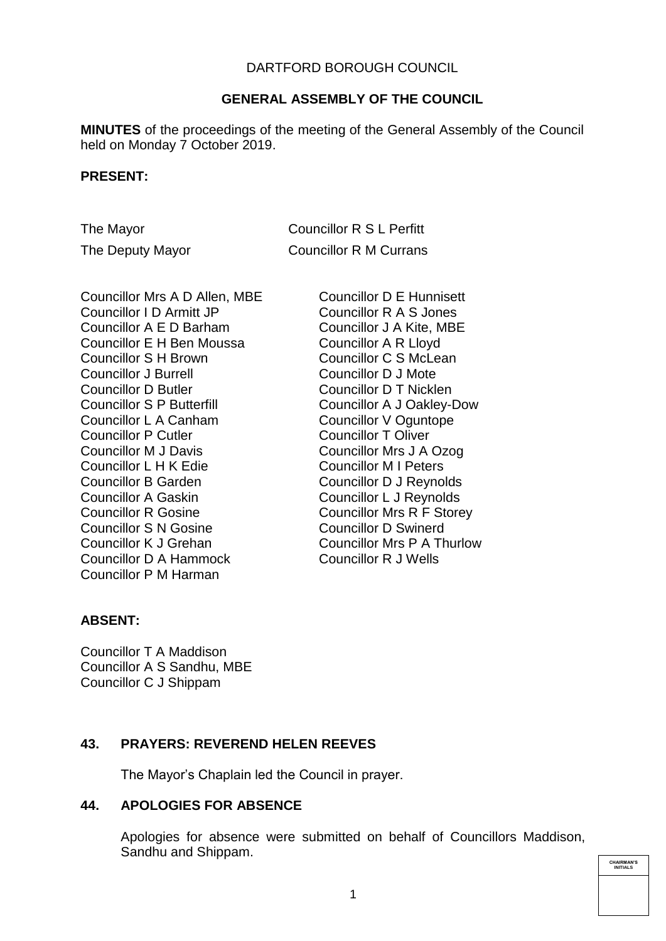# DARTFORD BOROUGH COUNCIL

## **GENERAL ASSEMBLY OF THE COUNCIL**

**MINUTES** of the proceedings of the meeting of the General Assembly of the Council held on Monday 7 October 2019.

#### **PRESENT:**

The Mayor Councillor R S L Perfitt The Deputy Mayor Councillor R M Currans

Councillor Mrs A D Allen, MBE Councillor I D Armitt JP Councillor A E D Barham Councillor E H Ben Moussa Councillor S H Brown Councillor J Burrell Councillor D Butler Councillor S P Butterfill Councillor L A Canham Councillor P Cutler Councillor M J Davis Councillor L H K Edie Councillor B Garden Councillor A Gaskin Councillor R Gosine Councillor S N Gosine Councillor K J Grehan Councillor D A Hammock Councillor P M Harman

Councillor D E Hunnisett Councillor R A S Jones Councillor J A Kite, MBE Councillor A R Lloyd Councillor C S McLean Councillor D J Mote Councillor D T Nicklen Councillor A J Oakley-Dow Councillor V Oguntope Councillor T Oliver Councillor Mrs J A Ozog Councillor M I Peters Councillor D J Reynolds Councillor L J Reynolds Councillor Mrs R F Storey Councillor D Swinerd Councillor Mrs P A Thurlow Councillor R J Wells

#### **ABSENT:**

Councillor T A Maddison Councillor A S Sandhu, MBE Councillor C J Shippam

### **43. PRAYERS: REVEREND HELEN REEVES**

The Mayor's Chaplain led the Council in prayer.

# **44. APOLOGIES FOR ABSENCE**

Apologies for absence were submitted on behalf of Councillors Maddison, Sandhu and Shippam.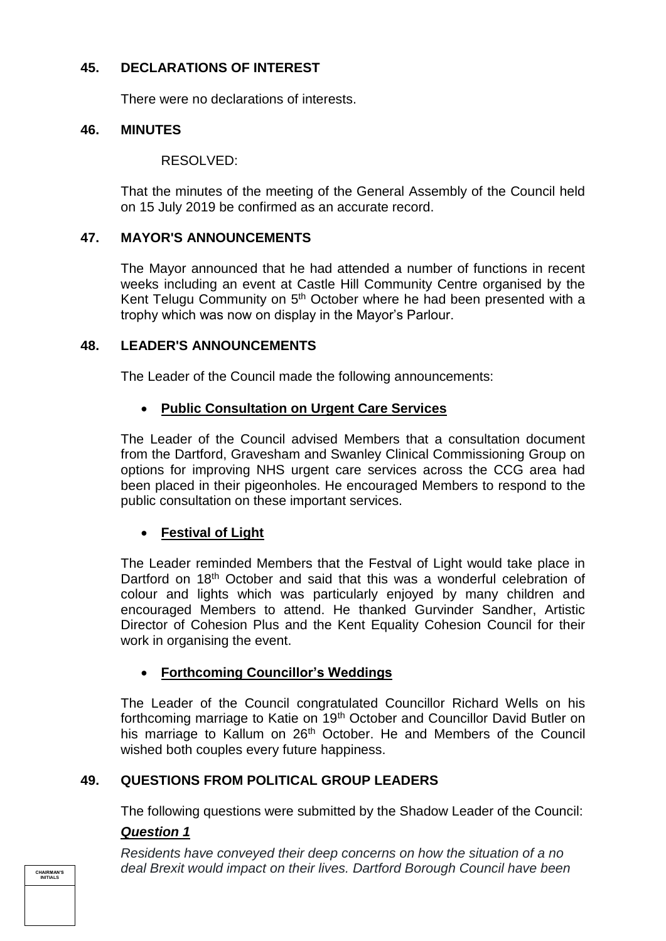# **45. DECLARATIONS OF INTEREST**

There were no declarations of interests.

## **46. MINUTES**

#### RESOLVED:

That the minutes of the meeting of the General Assembly of the Council held on 15 July 2019 be confirmed as an accurate record.

### **47. MAYOR'S ANNOUNCEMENTS**

The Mayor announced that he had attended a number of functions in recent weeks including an event at Castle Hill Community Centre organised by the Kent Telugu Community on 5<sup>th</sup> October where he had been presented with a trophy which was now on display in the Mayor's Parlour.

### **48. LEADER'S ANNOUNCEMENTS**

The Leader of the Council made the following announcements:

# **Public Consultation on Urgent Care Services**

The Leader of the Council advised Members that a consultation document from the Dartford, Gravesham and Swanley Clinical Commissioning Group on options for improving NHS urgent care services across the CCG area had been placed in their pigeonholes. He encouraged Members to respond to the public consultation on these important services.

# **Festival of Light**

The Leader reminded Members that the Festval of Light would take place in Dartford on 18<sup>th</sup> October and said that this was a wonderful celebration of colour and lights which was particularly enjoyed by many children and encouraged Members to attend. He thanked Gurvinder Sandher, Artistic Director of Cohesion Plus and the Kent Equality Cohesion Council for their work in organising the event.

# **Forthcoming Councillor's Weddings**

The Leader of the Council congratulated Councillor Richard Wells on his forthcoming marriage to Katie on 19<sup>th</sup> October and Councillor David Butler on his marriage to Kallum on 26<sup>th</sup> October. He and Members of the Council wished both couples every future happiness.

# **49. QUESTIONS FROM POLITICAL GROUP LEADERS**

The following questions were submitted by the Shadow Leader of the Council:

#### *Question 1*

*Residents have conveyed their deep concerns on how the situation of a no deal Brexit would impact on their lives. Dartford Borough Council have been*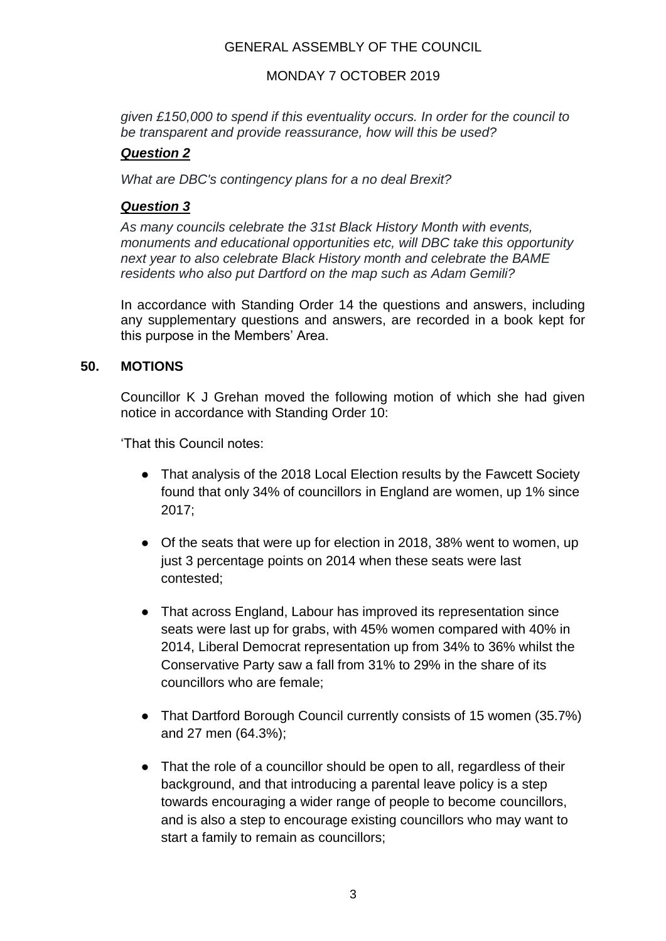# MONDAY 7 OCTOBER 2019

*given £150,000 to spend if this eventuality occurs. In order for the council to be transparent and provide reassurance, how will this be used?*

# *Question 2*

*What are DBC's contingency plans for a no deal Brexit?*

# *Question 3*

*As many councils celebrate the 31st Black History Month with events, monuments and educational opportunities etc, will DBC take this opportunity next year to also celebrate Black History month and celebrate the BAME residents who also put Dartford on the map such as Adam Gemili?*

In accordance with Standing Order 14 the questions and answers, including any supplementary questions and answers, are recorded in a book kept for this purpose in the Members' Area.

# **50. MOTIONS**

Councillor K J Grehan moved the following motion of which she had given notice in accordance with Standing Order 10:

'That this Council notes:

- That analysis of the 2018 Local Election results by the Fawcett Society found that only 34% of councillors in England are women, up 1% since 2017;
- Of the seats that were up for election in 2018, 38% went to women, up just 3 percentage points on 2014 when these seats were last contested;
- That across England, Labour has improved its representation since seats were last up for grabs, with 45% women compared with 40% in 2014, Liberal Democrat representation up from 34% to 36% whilst the Conservative Party saw a fall from 31% to 29% in the share of its councillors who are female;
- That Dartford Borough Council currently consists of 15 women (35.7%) and 27 men (64.3%);
- That the role of a councillor should be open to all, regardless of their background, and that introducing a parental leave policy is a step towards encouraging a wider range of people to become councillors, and is also a step to encourage existing councillors who may want to start a family to remain as councillors;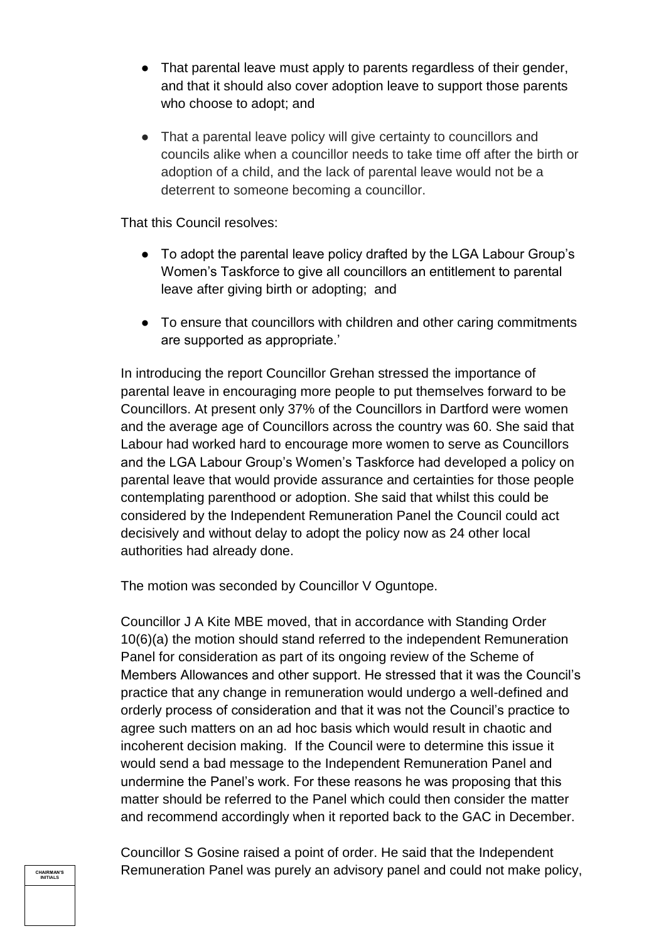- That parental leave must apply to parents regardless of their gender, and that it should also cover adoption leave to support those parents who choose to adopt; and
- That a parental leave policy will give certainty to councillors and councils alike when a councillor needs to take time off after the birth or adoption of a child, and the lack of parental leave would not be a deterrent to someone becoming a councillor.

That this Council resolves:

- To adopt the parental leave policy drafted by the LGA Labour Group's Women's Taskforce to give all councillors an entitlement to parental leave after giving birth or adopting; and
- To ensure that councillors with children and other caring commitments are supported as appropriate.'

In introducing the report Councillor Grehan stressed the importance of parental leave in encouraging more people to put themselves forward to be Councillors. At present only 37% of the Councillors in Dartford were women and the average age of Councillors across the country was 60. She said that Labour had worked hard to encourage more women to serve as Councillors and the LGA Labour Group's Women's Taskforce had developed a policy on parental leave that would provide assurance and certainties for those people contemplating parenthood or adoption. She said that whilst this could be considered by the Independent Remuneration Panel the Council could act decisively and without delay to adopt the policy now as 24 other local authorities had already done.

The motion was seconded by Councillor V Oguntope.

Councillor J A Kite MBE moved, that in accordance with Standing Order 10(6)(a) the motion should stand referred to the independent Remuneration Panel for consideration as part of its ongoing review of the Scheme of Members Allowances and other support. He stressed that it was the Council's practice that any change in remuneration would undergo a well-defined and orderly process of consideration and that it was not the Council's practice to agree such matters on an ad hoc basis which would result in chaotic and incoherent decision making. If the Council were to determine this issue it would send a bad message to the Independent Remuneration Panel and undermine the Panel's work. For these reasons he was proposing that this matter should be referred to the Panel which could then consider the matter and recommend accordingly when it reported back to the GAC in December.

Councillor S Gosine raised a point of order. He said that the Independent Remuneration Panel was purely an advisory panel and could not make policy,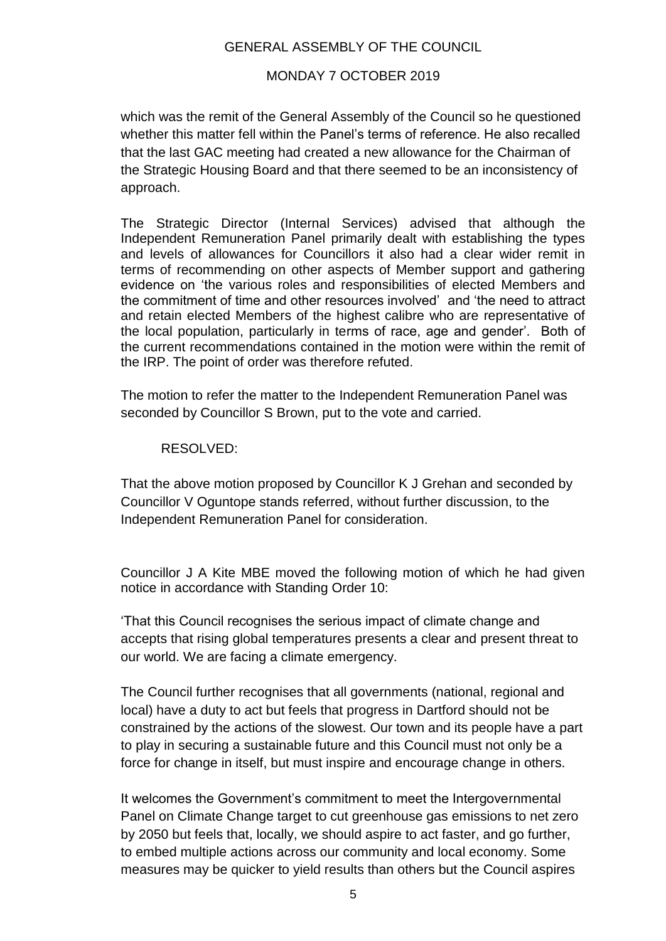# MONDAY 7 OCTOBER 2019

which was the remit of the General Assembly of the Council so he questioned whether this matter fell within the Panel's terms of reference. He also recalled that the last GAC meeting had created a new allowance for the Chairman of the Strategic Housing Board and that there seemed to be an inconsistency of approach.

The Strategic Director (Internal Services) advised that although the Independent Remuneration Panel primarily dealt with establishing the types and levels of allowances for Councillors it also had a clear wider remit in terms of recommending on other aspects of Member support and gathering evidence on 'the various roles and responsibilities of elected Members and the commitment of time and other resources involved' and 'the need to attract and retain elected Members of the highest calibre who are representative of the local population, particularly in terms of race, age and gender'. Both of the current recommendations contained in the motion were within the remit of the IRP. The point of order was therefore refuted.

The motion to refer the matter to the Independent Remuneration Panel was seconded by Councillor S Brown, put to the vote and carried.

### RESOLVED:

That the above motion proposed by Councillor K J Grehan and seconded by Councillor V Oguntope stands referred, without further discussion, to the Independent Remuneration Panel for consideration.

Councillor J A Kite MBE moved the following motion of which he had given notice in accordance with Standing Order 10:

'That this Council recognises the serious impact of climate change and accepts that rising global temperatures presents a clear and present threat to our world. We are facing a climate emergency.

The Council further recognises that all governments (national, regional and local) have a duty to act but feels that progress in Dartford should not be constrained by the actions of the slowest. Our town and its people have a part to play in securing a sustainable future and this Council must not only be a force for change in itself, but must inspire and encourage change in others.

It welcomes the Government's commitment to meet the Intergovernmental Panel on Climate Change target to cut greenhouse gas emissions to net zero by 2050 but feels that, locally, we should aspire to act faster, and go further, to embed multiple actions across our community and local economy. Some measures may be quicker to yield results than others but the Council aspires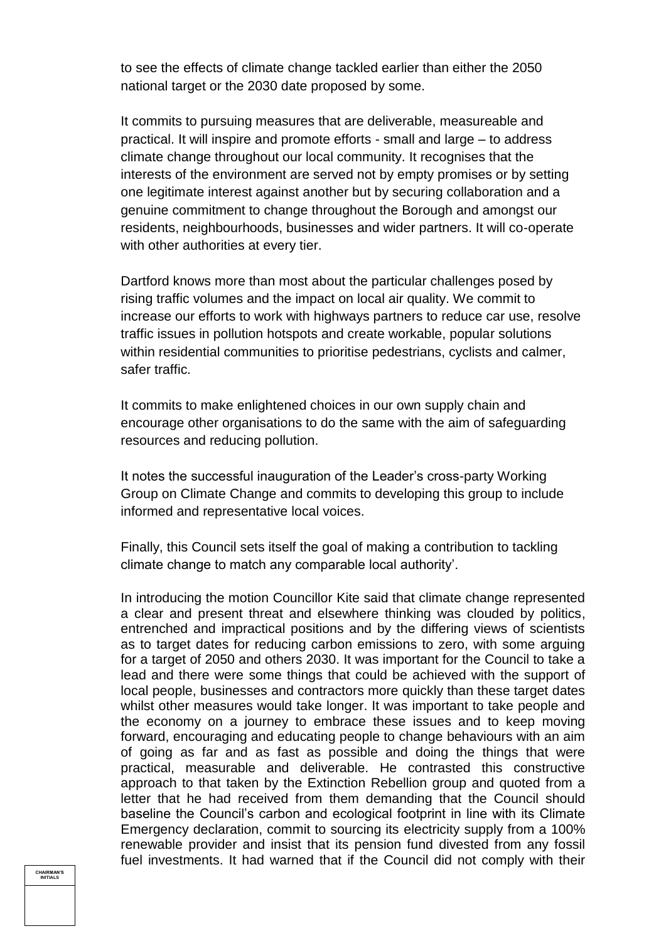to see the effects of climate change tackled earlier than either the 2050 national target or the 2030 date proposed by some.

It commits to pursuing measures that are deliverable, measureable and practical. It will inspire and promote efforts - small and large – to address climate change throughout our local community. It recognises that the interests of the environment are served not by empty promises or by setting one legitimate interest against another but by securing collaboration and a genuine commitment to change throughout the Borough and amongst our residents, neighbourhoods, businesses and wider partners. It will co-operate with other authorities at every tier.

Dartford knows more than most about the particular challenges posed by rising traffic volumes and the impact on local air quality. We commit to increase our efforts to work with highways partners to reduce car use, resolve traffic issues in pollution hotspots and create workable, popular solutions within residential communities to prioritise pedestrians, cyclists and calmer, safer traffic.

It commits to make enlightened choices in our own supply chain and encourage other organisations to do the same with the aim of safeguarding resources and reducing pollution.

It notes the successful inauguration of the Leader's cross-party Working Group on Climate Change and commits to developing this group to include informed and representative local voices.

Finally, this Council sets itself the goal of making a contribution to tackling climate change to match any comparable local authority'.

In introducing the motion Councillor Kite said that climate change represented a clear and present threat and elsewhere thinking was clouded by politics, entrenched and impractical positions and by the differing views of scientists as to target dates for reducing carbon emissions to zero, with some arguing for a target of 2050 and others 2030. It was important for the Council to take a lead and there were some things that could be achieved with the support of local people, businesses and contractors more quickly than these target dates whilst other measures would take longer. It was important to take people and the economy on a journey to embrace these issues and to keep moving forward, encouraging and educating people to change behaviours with an aim of going as far and as fast as possible and doing the things that were practical, measurable and deliverable. He contrasted this constructive approach to that taken by the Extinction Rebellion group and quoted from a letter that he had received from them demanding that the Council should baseline the Council's carbon and ecological footprint in line with its Climate Emergency declaration, commit to sourcing its electricity supply from a 100% renewable provider and insist that its pension fund divested from any fossil fuel investments. It had warned that if the Council did not comply with their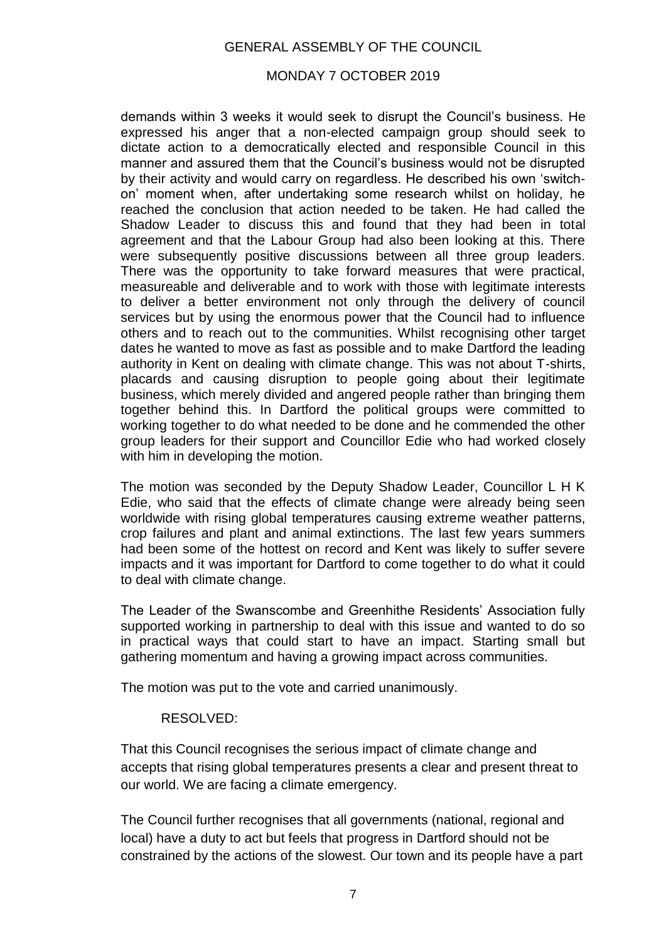### MONDAY 7 OCTOBER 2019

demands within 3 weeks it would seek to disrupt the Council's business. He expressed his anger that a non-elected campaign group should seek to dictate action to a democratically elected and responsible Council in this manner and assured them that the Council's business would not be disrupted by their activity and would carry on regardless. He described his own 'switchon' moment when, after undertaking some research whilst on holiday, he reached the conclusion that action needed to be taken. He had called the Shadow Leader to discuss this and found that they had been in total agreement and that the Labour Group had also been looking at this. There were subsequently positive discussions between all three group leaders. There was the opportunity to take forward measures that were practical, measureable and deliverable and to work with those with legitimate interests to deliver a better environment not only through the delivery of council services but by using the enormous power that the Council had to influence others and to reach out to the communities. Whilst recognising other target dates he wanted to move as fast as possible and to make Dartford the leading authority in Kent on dealing with climate change. This was not about T-shirts, placards and causing disruption to people going about their legitimate business, which merely divided and angered people rather than bringing them together behind this. In Dartford the political groups were committed to working together to do what needed to be done and he commended the other group leaders for their support and Councillor Edie who had worked closely with him in developing the motion.

The motion was seconded by the Deputy Shadow Leader, Councillor L H K Edie, who said that the effects of climate change were already being seen worldwide with rising global temperatures causing extreme weather patterns, crop failures and plant and animal extinctions. The last few years summers had been some of the hottest on record and Kent was likely to suffer severe impacts and it was important for Dartford to come together to do what it could to deal with climate change.

The Leader of the Swanscombe and Greenhithe Residents' Association fully supported working in partnership to deal with this issue and wanted to do so in practical ways that could start to have an impact. Starting small but gathering momentum and having a growing impact across communities.

The motion was put to the vote and carried unanimously.

#### RESOLVED:

That this Council recognises the serious impact of climate change and accepts that rising global temperatures presents a clear and present threat to our world. We are facing a climate emergency.

The Council further recognises that all governments (national, regional and local) have a duty to act but feels that progress in Dartford should not be constrained by the actions of the slowest. Our town and its people have a part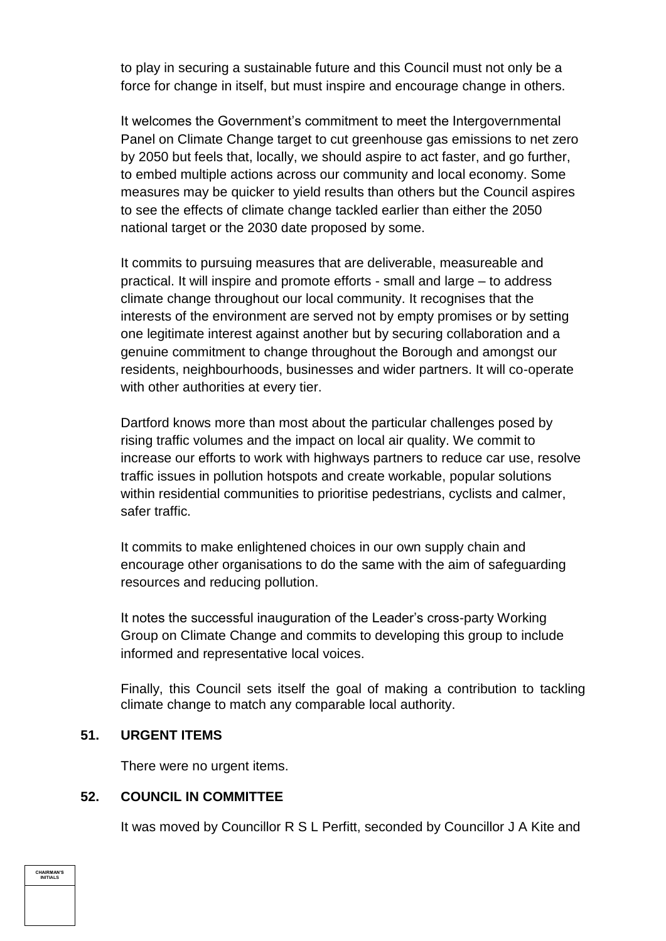to play in securing a sustainable future and this Council must not only be a force for change in itself, but must inspire and encourage change in others.

It welcomes the Government's commitment to meet the Intergovernmental Panel on Climate Change target to cut greenhouse gas emissions to net zero by 2050 but feels that, locally, we should aspire to act faster, and go further, to embed multiple actions across our community and local economy. Some measures may be quicker to yield results than others but the Council aspires to see the effects of climate change tackled earlier than either the 2050 national target or the 2030 date proposed by some.

It commits to pursuing measures that are deliverable, measureable and practical. It will inspire and promote efforts - small and large – to address climate change throughout our local community. It recognises that the interests of the environment are served not by empty promises or by setting one legitimate interest against another but by securing collaboration and a genuine commitment to change throughout the Borough and amongst our residents, neighbourhoods, businesses and wider partners. It will co-operate with other authorities at every tier.

Dartford knows more than most about the particular challenges posed by rising traffic volumes and the impact on local air quality. We commit to increase our efforts to work with highways partners to reduce car use, resolve traffic issues in pollution hotspots and create workable, popular solutions within residential communities to prioritise pedestrians, cyclists and calmer, safer traffic.

It commits to make enlightened choices in our own supply chain and encourage other organisations to do the same with the aim of safeguarding resources and reducing pollution.

It notes the successful inauguration of the Leader's cross-party Working Group on Climate Change and commits to developing this group to include informed and representative local voices.

Finally, this Council sets itself the goal of making a contribution to tackling climate change to match any comparable local authority.

#### **51. URGENT ITEMS**

There were no urgent items.

# **52. COUNCIL IN COMMITTEE**

It was moved by Councillor R S L Perfitt, seconded by Councillor J A Kite and

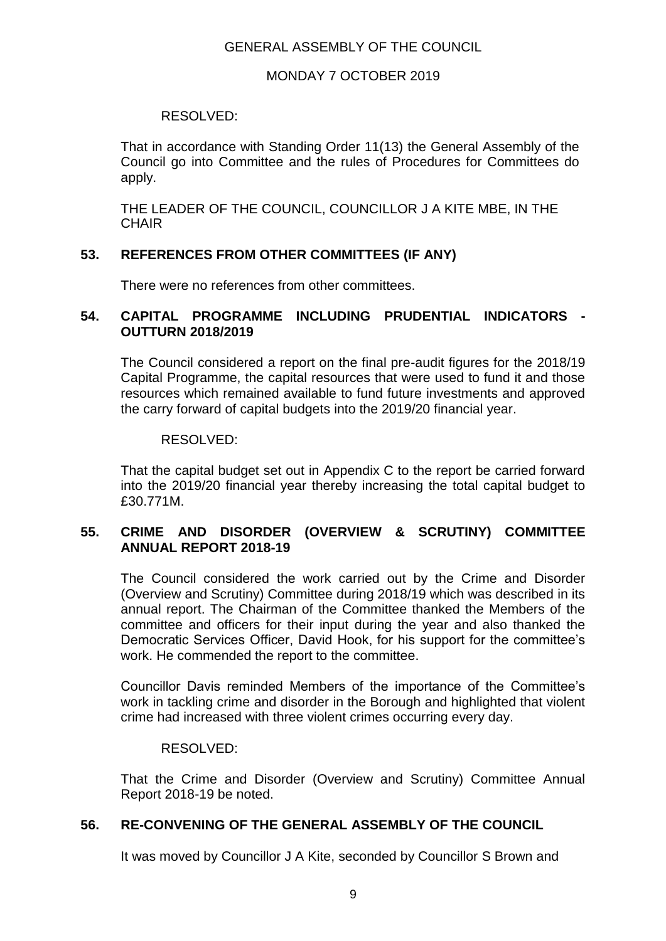## MONDAY 7 OCTOBER 2019

## RESOLVED:

That in accordance with Standing Order 11(13) the General Assembly of the Council go into Committee and the rules of Procedures for Committees do apply.

THE LEADER OF THE COUNCIL, COUNCILLOR J A KITE MBE, IN THE **CHAIR** 

# **53. REFERENCES FROM OTHER COMMITTEES (IF ANY)**

There were no references from other committees.

## **54. CAPITAL PROGRAMME INCLUDING PRUDENTIAL INDICATORS - OUTTURN 2018/2019**

The Council considered a report on the final pre-audit figures for the 2018/19 Capital Programme, the capital resources that were used to fund it and those resources which remained available to fund future investments and approved the carry forward of capital budgets into the 2019/20 financial year.

## RESOLVED:

That the capital budget set out in Appendix C to the report be carried forward into the 2019/20 financial year thereby increasing the total capital budget to £30.771M.

# **55. CRIME AND DISORDER (OVERVIEW & SCRUTINY) COMMITTEE ANNUAL REPORT 2018-19**

The Council considered the work carried out by the Crime and Disorder (Overview and Scrutiny) Committee during 2018/19 which was described in its annual report. The Chairman of the Committee thanked the Members of the committee and officers for their input during the year and also thanked the Democratic Services Officer, David Hook, for his support for the committee's work. He commended the report to the committee.

Councillor Davis reminded Members of the importance of the Committee's work in tackling crime and disorder in the Borough and highlighted that violent crime had increased with three violent crimes occurring every day.

#### RESOLVED:

That the Crime and Disorder (Overview and Scrutiny) Committee Annual Report 2018-19 be noted.

# **56. RE-CONVENING OF THE GENERAL ASSEMBLY OF THE COUNCIL**

It was moved by Councillor J A Kite, seconded by Councillor S Brown and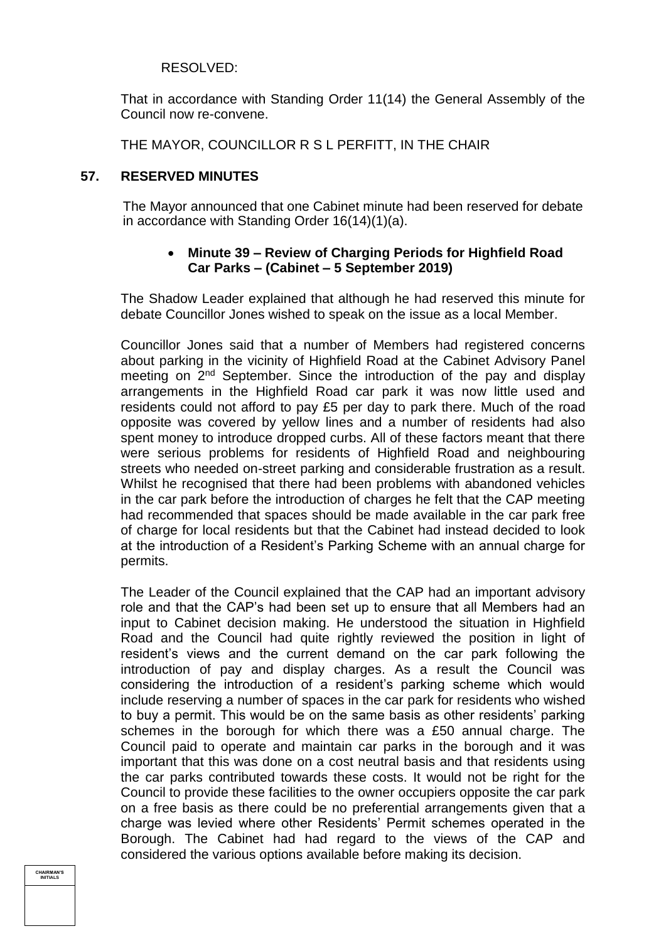## RESOLVED:

That in accordance with Standing Order 11(14) the General Assembly of the Council now re-convene.

THE MAYOR, COUNCILLOR R S L PERFITT, IN THE CHAIR

#### **57. RESERVED MINUTES**

The Mayor announced that one Cabinet minute had been reserved for debate in accordance with Standing Order 16(14)(1)(a).

# **Minute 39 – Review of Charging Periods for Highfield Road Car Parks – (Cabinet – 5 September 2019)**

The Shadow Leader explained that although he had reserved this minute for debate Councillor Jones wished to speak on the issue as a local Member.

Councillor Jones said that a number of Members had registered concerns about parking in the vicinity of Highfield Road at the Cabinet Advisory Panel meeting on 2<sup>nd</sup> September. Since the introduction of the pay and display arrangements in the Highfield Road car park it was now little used and residents could not afford to pay £5 per day to park there. Much of the road opposite was covered by yellow lines and a number of residents had also spent money to introduce dropped curbs. All of these factors meant that there were serious problems for residents of Highfield Road and neighbouring streets who needed on-street parking and considerable frustration as a result. Whilst he recognised that there had been problems with abandoned vehicles in the car park before the introduction of charges he felt that the CAP meeting had recommended that spaces should be made available in the car park free of charge for local residents but that the Cabinet had instead decided to look at the introduction of a Resident's Parking Scheme with an annual charge for permits.

The Leader of the Council explained that the CAP had an important advisory role and that the CAP's had been set up to ensure that all Members had an input to Cabinet decision making. He understood the situation in Highfield Road and the Council had quite rightly reviewed the position in light of resident's views and the current demand on the car park following the introduction of pay and display charges. As a result the Council was considering the introduction of a resident's parking scheme which would include reserving a number of spaces in the car park for residents who wished to buy a permit. This would be on the same basis as other residents' parking schemes in the borough for which there was a £50 annual charge. The Council paid to operate and maintain car parks in the borough and it was important that this was done on a cost neutral basis and that residents using the car parks contributed towards these costs. It would not be right for the Council to provide these facilities to the owner occupiers opposite the car park on a free basis as there could be no preferential arrangements given that a charge was levied where other Residents' Permit schemes operated in the Borough. The Cabinet had had regard to the views of the CAP and considered the various options available before making its decision.